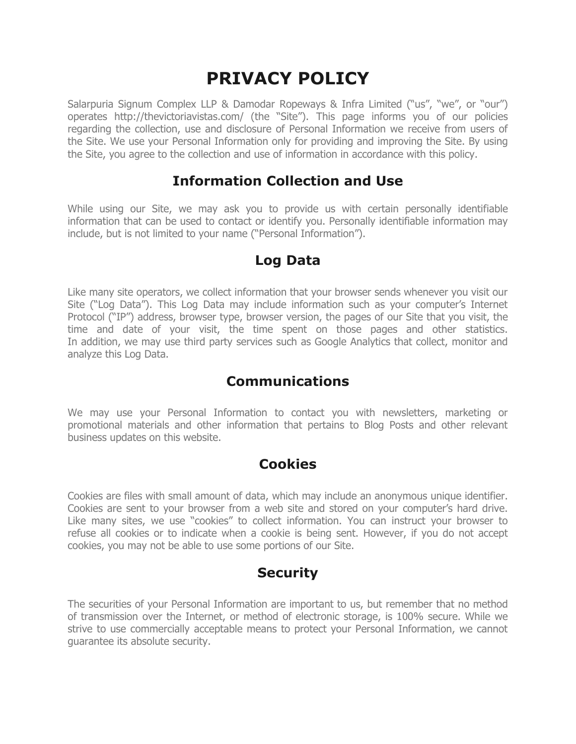# **PRIVACY POLICY**

Salarpuria Signum Complex LLP & Damodar Ropeways & Infra Limited ("us", "we", or "our") operates http://thevictoriavistas.com/ (the "Site"). This page informs you of our policies regarding the collection, use and disclosure of Personal Information we receive from users of the Site. We use your Personal Information only for providing and improving the Site. By using the Site, you agree to the collection and use of information in accordance with this policy.

#### **Information Collection and Use**

While using our Site, we may ask you to provide us with certain personally identifiable information that can be used to contact or identify you. Personally identifiable information may include, but is not limited to your name ("Personal Information").

#### **Log Data**

Like many site operators, we collect information that your browser sends whenever you visit our Site ("Log Data"). This Log Data may include information such as your computer's Internet Protocol ("IP") address, browser type, browser version, the pages of our Site that you visit, the time and date of your visit, the time spent on those pages and other statistics. In addition, we may use third party services such as Google Analytics that collect, monitor and analyze this Log Data.

# **Communications**

We may use your Personal Information to contact you with newsletters, marketing or promotional materials and other information that pertains to Blog Posts and other relevant business updates on this website.

#### **Cookies**

Cookies are files with small amount of data, which may include an anonymous unique identifier. Cookies are sent to your browser from a web site and stored on your computer's hard drive. Like many sites, we use "cookies" to collect information. You can instruct your browser to refuse all cookies or to indicate when a cookie is being sent. However, if you do not accept cookies, you may not be able to use some portions of our Site.

# **Security**

The securities of your Personal Information are important to us, but remember that no method of transmission over the Internet, or method of electronic storage, is 100% secure. While we strive to use commercially acceptable means to protect your Personal Information, we cannot guarantee its absolute security.